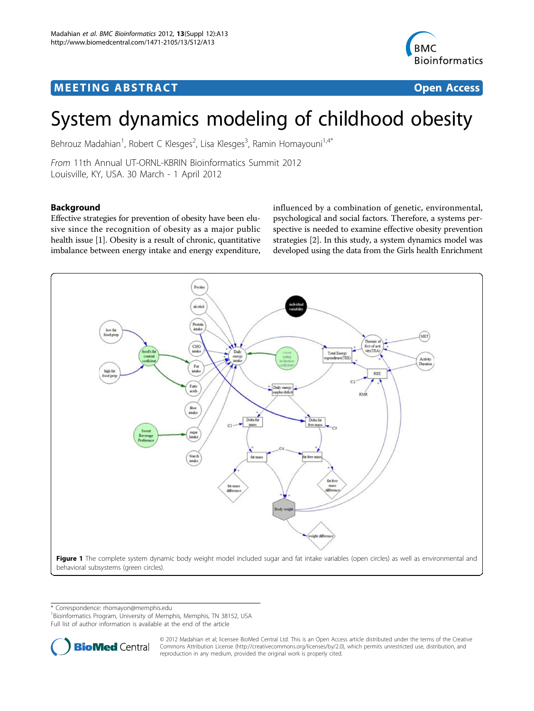# <span id="page-0-0"></span>**MEETING ABSTRACT ACCESS**



# System dynamics modeling of childhood obesity

Behrouz Madahian<sup>1</sup>, Robert C Klesges<sup>2</sup>, Lisa Klesges<sup>3</sup>, Ramin Homayouni<sup>1,4\*</sup>

From 11th Annual UT-ORNL-KBRIN Bioinformatics Summit 2012 Louisville, KY, USA. 30 March - 1 April 2012

# Background

Effective strategies for prevention of obesity have been elusive since the recognition of obesity as a major public health issue [[1](#page-1-0)]. Obesity is a result of chronic, quantitative imbalance between energy intake and energy expenditure,

influenced by a combination of genetic, environmental, psychological and social factors. Therefore, a systems perspective is needed to examine effective obesity prevention strategies [\[2](#page-1-0)]. In this study, a system dynamics model was developed using the data from the Girls health Enrichment



\* Correspondence: [rhomayon@memphis.edu](mailto:rhomayon@memphis.edu)

<sup>1</sup> Bioinformatics Program, University of Memphis, Memphis, TN 38152, USA

Full list of author information is available at the end of the article



© 2012 Madahian et al; licensee BioMed Central Ltd. This is an Open Access article distributed under the terms of the Creative Commons Attribution License [\(http://creativecommons.org/licenses/by/2.0](http://creativecommons.org/licenses/by/2.0)), which permits unrestricted use, distribution, and reproduction in any medium, provided the original work is properly cited.